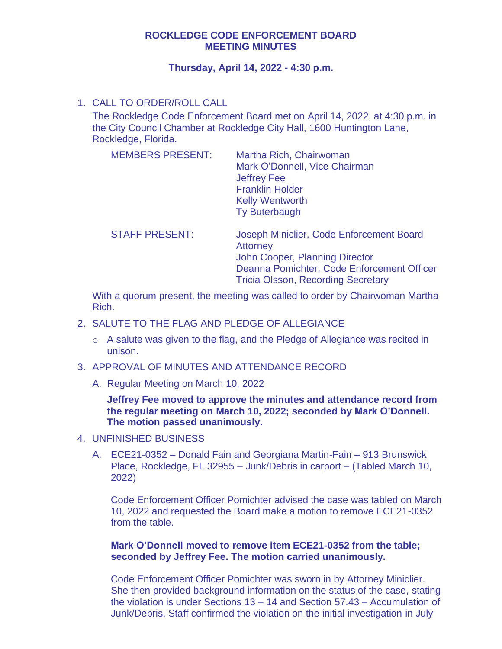## **ROCKLEDGE CODE ENFORCEMENT BOARD MEETING MINUTES**

### **Thursday, April 14, 2022 - 4:30 p.m.**

# 1. CALL TO ORDER/ROLL CALL

The Rockledge Code Enforcement Board met on April 14, 2022, at 4:30 p.m. in the City Council Chamber at Rockledge City Hall, 1600 Huntington Lane, Rockledge, Florida.

| Martha Rich, Chairwoman<br>Mark O'Donnell, Vice Chairman<br><b>Jeffrey Fee</b><br><b>Franklin Holder</b><br><b>Kelly Wentworth</b> |
|------------------------------------------------------------------------------------------------------------------------------------|
|                                                                                                                                    |
| <b>Ty Buterbaugh</b>                                                                                                               |
|                                                                                                                                    |

STAFF PRESENT: Joseph Miniclier, Code Enforcement Board **Attorney** John Cooper, Planning Director Deanna Pomichter, Code Enforcement Officer Tricia Olsson, Recording Secretary

With a quorum present, the meeting was called to order by Chairwoman Martha Rich.

- 2. SALUTE TO THE FLAG AND PLEDGE OF ALLEGIANCE
	- o A salute was given to the flag, and the Pledge of Allegiance was recited in unison.
- 3. APPROVAL OF MINUTES AND ATTENDANCE RECORD
	- A. Regular Meeting on March 10, 2022

**Jeffrey Fee moved to approve the minutes and attendance record from the regular meeting on March 10, 2022; seconded by Mark O'Donnell. The motion passed unanimously.** 

- 4. UNFINISHED BUSINESS
	- A. ECE21-0352 Donald Fain and Georgiana Martin-Fain 913 Brunswick Place, Rockledge, FL 32955 – Junk/Debris in carport – (Tabled March 10, 2022)

Code Enforcement Officer Pomichter advised the case was tabled on March 10, 2022 and requested the Board make a motion to remove ECE21-0352 from the table.

### **Mark O'Donnell moved to remove item ECE21-0352 from the table; seconded by Jeffrey Fee. The motion carried unanimously.**

Code Enforcement Officer Pomichter was sworn in by Attorney Miniclier. She then provided background information on the status of the case, stating the violation is under Sections 13 – 14 and Section 57.43 – Accumulation of Junk/Debris. Staff confirmed the violation on the initial investigation in July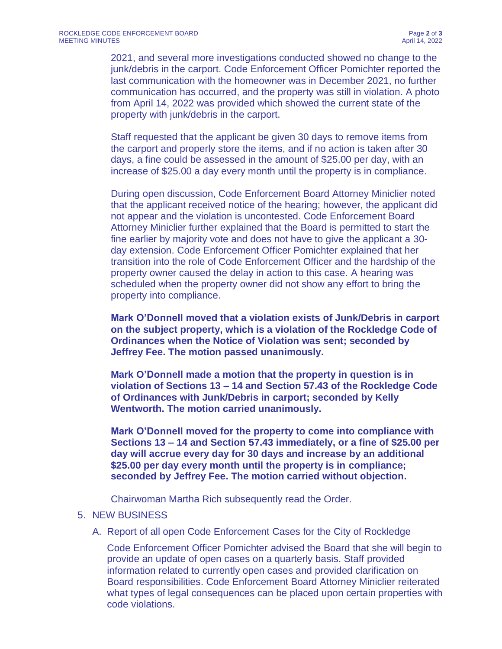2021, and several more investigations conducted showed no change to the junk/debris in the carport. Code Enforcement Officer Pomichter reported the last communication with the homeowner was in December 2021, no further communication has occurred, and the property was still in violation. A photo from April 14, 2022 was provided which showed the current state of the property with junk/debris in the carport.

Staff requested that the applicant be given 30 days to remove items from the carport and properly store the items, and if no action is taken after 30 days, a fine could be assessed in the amount of \$25.00 per day, with an increase of \$25.00 a day every month until the property is in compliance.

During open discussion, Code Enforcement Board Attorney Miniclier noted that the applicant received notice of the hearing; however, the applicant did not appear and the violation is uncontested. Code Enforcement Board Attorney Miniclier further explained that the Board is permitted to start the fine earlier by majority vote and does not have to give the applicant a 30 day extension. Code Enforcement Officer Pomichter explained that her transition into the role of Code Enforcement Officer and the hardship of the property owner caused the delay in action to this case. A hearing was scheduled when the property owner did not show any effort to bring the property into compliance.

**Mark O'Donnell moved that a violation exists of Junk/Debris in carport on the subject property, which is a violation of the Rockledge Code of Ordinances when the Notice of Violation was sent; seconded by Jeffrey Fee. The motion passed unanimously.** 

**Mark O'Donnell made a motion that the property in question is in violation of Sections 13 – 14 and Section 57.43 of the Rockledge Code of Ordinances with Junk/Debris in carport; seconded by Kelly Wentworth. The motion carried unanimously.** 

**Mark O'Donnell moved for the property to come into compliance with Sections 13 – 14 and Section 57.43 immediately, or a fine of \$25.00 per day will accrue every day for 30 days and increase by an additional \$25.00 per day every month until the property is in compliance; seconded by Jeffrey Fee. The motion carried without objection.**

Chairwoman Martha Rich subsequently read the Order.

### 5. NEW BUSINESS

A. Report of all open Code Enforcement Cases for the City of Rockledge

Code Enforcement Officer Pomichter advised the Board that she will begin to provide an update of open cases on a quarterly basis. Staff provided information related to currently open cases and provided clarification on Board responsibilities. Code Enforcement Board Attorney Miniclier reiterated what types of legal consequences can be placed upon certain properties with code violations.